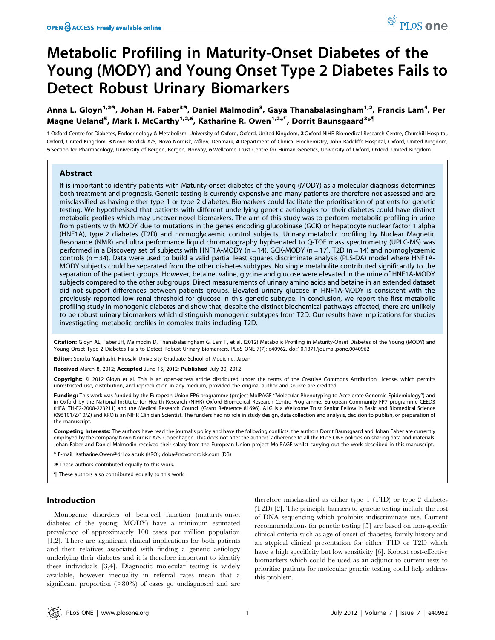# Metabolic Profiling in Maturity-Onset Diabetes of the Young (MODY) and Young Onset Type 2 Diabetes Fails to Detect Robust Urinary Biomarkers

Anna L. Gloyn<sup>1,29</sup>, Johan H. Faber<sup>39</sup>, Daniel Malmodin<sup>3</sup>, Gaya Thanabalasingham<sup>1,2</sup>, Francis Lam<sup>4</sup>, Per Magne Ueland<sup>5</sup>, Mark I. McCarthy<sup>1,2,6</sup>, Katharine R. Owen<sup>1,2</sup>\*<sup>1</sup>, Dorrit Baunsgaard<sup>3</sup>\*<sup>1</sup>

1 Oxford Centre for Diabetes, Endocrinology & Metabolism, University of Oxford, Oxford, United Kingdom, 2 Oxford NIHR Biomedical Research Centre, Churchill Hospital, Oxford, United Kingdom, 3 Novo Nordisk A/S, Novo Nordisk, Måløv, Denmark, 4 Department of Clinical Biochemistry, John Radcliffe Hospital, Oxford, United Kingdom, 5 Section for Pharmacology, University of Bergen, Bergen, Norway, 6 Wellcome Trust Centre for Human Genetics, University of Oxford, Oxford, United Kingdom

# Abstract

It is important to identify patients with Maturity-onset diabetes of the young (MODY) as a molecular diagnosis determines both treatment and prognosis. Genetic testing is currently expensive and many patients are therefore not assessed and are misclassified as having either type 1 or type 2 diabetes. Biomarkers could facilitate the prioritisation of patients for genetic testing. We hypothesised that patients with different underlying genetic aetiologies for their diabetes could have distinct metabolic profiles which may uncover novel biomarkers. The aim of this study was to perform metabolic profiling in urine from patients with MODY due to mutations in the genes encoding glucokinase (GCK) or hepatocyte nuclear factor 1 alpha (HNF1A), type 2 diabetes (T2D) and normoglycaemic control subjects. Urinary metabolic profiling by Nuclear Magnetic Resonance (NMR) and ultra performance liquid chromatography hyphenated to Q-TOF mass spectrometry (UPLC-MS) was performed in a Discovery set of subjects with HNF1A-MODY ( $n = 14$ ), GCK-MODY ( $n = 17$ ), T2D ( $n = 14$ ) and normoglycaemic controls (n = 34). Data were used to build a valid partial least squares discriminate analysis (PLS-DA) model where HNF1A-MODY subjects could be separated from the other diabetes subtypes. No single metabolite contributed significantly to the separation of the patient groups. However, betaine, valine, glycine and glucose were elevated in the urine of HNF1A-MODY subjects compared to the other subgroups. Direct measurements of urinary amino acids and betaine in an extended dataset did not support differences between patients groups. Elevated urinary glucose in HNF1A-MODY is consistent with the previously reported low renal threshold for glucose in this genetic subtype. In conclusion, we report the first metabolic profiling study in monogenic diabetes and show that, despite the distinct biochemical pathways affected, there are unlikely to be robust urinary biomarkers which distinguish monogenic subtypes from T2D. Our results have implications for studies investigating metabolic profiles in complex traits including T2D.

Citation: Gloyn AL, Faber JH, Malmodin D, Thanabalasingham G, Lam F, et al. (2012) Metabolic Profiling in Maturity-Onset Diabetes of the Young (MODY) and Young Onset Type 2 Diabetes Fails to Detect Robust Urinary Biomarkers. PLoS ONE 7(7): e40962. doi:10.1371/journal.pone.0040962

Editor: Soroku Yagihashi, Hirosaki University Graduate School of Medicine, Japan

Received March 8, 2012; Accepted June 15, 2012; Published July 30, 2012

Copyright: © 2012 Gloyn et al. This is an open-access article distributed under the terms of the Creative Commons Attribution License, which permits unrestricted use, distribution, and reproduction in any medium, provided the original author and source are credited.

Funding: This work was funded by the European Union FP6 programme (project MolPAGE "Molecular Phenotyping to Accelerate Genomic Epidemiology") and in Oxford by the National Institute for Health Research (NIHR) Oxford Biomedical Research Centre Programme, European Community FP7 programme CEED3 (HEALTH-F2-2008-223211) and the Medical Research Council (Grant Reference 81696). ALG is a Wellcome Trust Senior Fellow in Basic and Biomedical Science (095101/Z/10/Z) and KRO is an NIHR Clinician Scientist. The funders had no role in study design, data collection and analysis, decision to publish, or preparation of the manuscript.

Competing Interests: The authors have read the journal's policy and have the following conflicts: the authors Dorrit Baunsgaard and Johan Faber are currently employed by the company Novo Nordisk A/S, Copenhagen. This does not alter the authors' adherence to all the PLoS ONE policies on sharing data and materials. Johan Faber and Daniel Malmodin received their salary from the European Union project MolPAGE whilst carrying out the work described in this manuscript.

\* E-mail: Katharine.Owen@drl.ox.ac.uk (KRO); doba@novonordisk.com (DB)

**.** These authors contributed equally to this work

" These authors also contributed equally to this work.

### Introduction

Monogenic disorders of beta-cell function (maturity-onset diabetes of the young; MODY) have a minimum estimated prevalence of approximately 100 cases per million population [1,2]. There are significant clinical implications for both patients and their relatives associated with finding a genetic aetiology underlying their diabetes and it is therefore important to identify these individuals [3,4]. Diagnostic molecular testing is widely available, however inequality in referral rates mean that a significant proportion  $(>80\%)$  of cases go undiagnosed and are

therefore misclassified as either type 1 (T1D) or type 2 diabetes (T2D) [2]. The principle barriers to genetic testing include the cost of DNA sequencing which prohibits indiscriminate use. Current recommendations for genetic testing [5] are based on non-specific clinical criteria such as age of onset of diabetes, family history and an atypical clinical presentation for either T1D or T2D which have a high specificity but low sensitivity [6]. Robust cost-effective biomarkers which could be used as an adjunct to current tests to prioritise patients for molecular genetic testing could help address this problem.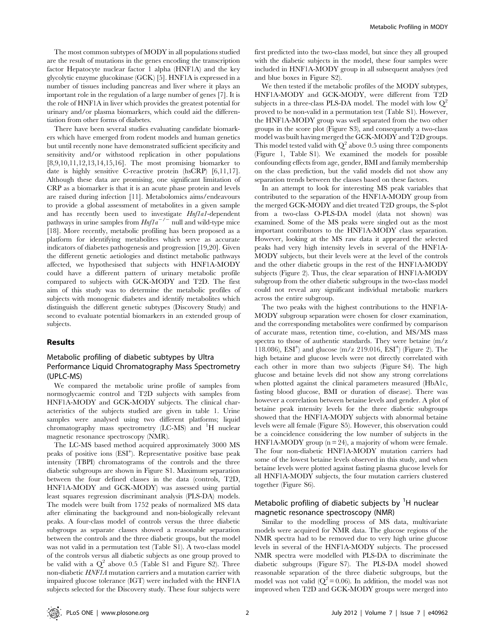The most common subtypes of MODY in all populations studied are the result of mutations in the genes encoding the transcription factor Hepatocyte nuclear factor 1 alpha (HNF1A) and the key glycolytic enzyme glucokinase (GCK) [5]. HNF1A is expressed in a number of tissues including pancreas and liver where it plays an important role in the regulation of a large number of genes [7]. It is the role of HNF1A in liver which provides the greatest potential for urinary and/or plasma biomarkers, which could aid the differentiation from other forms of diabetes.

There have been several studies evaluating candidate biomarkers which have emerged from rodent models and human genetics but until recently none have demonstrated sufficient specificity and sensitivity and/or withstood replication in other populations [8,9,10,11,12,13,14,15,16]. The most promising biomarker to date is highly sensitive C-reactive protein (hsCRP) [6,11,17]. Although these data are promising, one significant limitation of CRP as a biomarker is that it is an acute phase protein and levels are raised during infection [11]. Metabolomics aims/endeavours to provide a global assessment of metabolites in a given sample and has recently been used to investigate *Hnf1a1*-dependent pathways in urine samples from  $Hnfa^{-/-}$  null and wild-type mice [18]. More recently, metabolic profiling has been proposed as a platform for identifying metabolites which serve as accurate indicators of diabetes pathogenesis and progression [19,20]. Given the different genetic aetiologies and distinct metabolic pathways affected, we hypothesised that subjects with HNF1A-MODY could have a different pattern of urinary metabolic profile compared to subjects with GCK-MODY and T2D. The first aim of this study was to determine the metabolic profiles of subjects with monogenic diabetes and identify metabolites which distinguish the different genetic subtypes (Discovery Study) and second to evaluate potential biomarkers in an extended group of subjects.

### Results

# Metabolic profiling of diabetic subtypes by Ultra Performance Liquid Chromatography Mass Spectrometry (UPLC-MS)

We compared the metabolic urine profile of samples from normoglycaemic control and T2D subjects with samples from HNF1A-MODY and GCK-MODY subjects. The clinical characteristics of the subjects studied are given in table 1. Urine samples were analysed using two different platforms; liquid chromatography mass spectrometry (LC-MS) and <sup>1</sup>H nuclear magnetic resonance spectroscopy (NMR).

The LC-MS based method acquired approximately 3000 MS peaks of positive ions (ESI<sup>+</sup>). Representative positive base peak intensity (TBPI) chromatograms of the controls and the three diabetic subgroups are shown in Figure S1. Maximum separation between the four defined classes in the data (controls, T2D, HNF1A-MODY and GCK-MODY) was assessed using partial least squares regression discriminant analysis (PLS-DA) models. The models were built from 1752 peaks of normalized MS data after eliminating the background and non-biologically relevant peaks. A four-class model of controls versus the three diabetic subgroups as separate classes showed a reasonable separation between the controls and the three diabetic groups, but the model was not valid in a permutation test (Table S1). A two-class model of the controls versus all diabetic subjects as one group proved to be valid with a  $Q^2$  above 0.5 (Table S1 and Figure S2). Three non-diabetic HNF1A mutation carriers and a mutation carrier with impaired glucose tolerance (IGT) were included with the HNF1A subjects selected for the Discovery study. These four subjects were

first predicted into the two-class model, but since they all grouped with the diabetic subjects in the model, these four samples were included in HNF1A-MODY group in all subsequent analyses (red and blue boxes in Figure S2).

We then tested if the metabolic profiles of the MODY subtypes, HNF1A-MODY and GCK-MODY, were different from T2D subjects in a three-class PLS-DA model. The model with low  $Q^2$ proved to be non-valid in a permutation test (Table S1). However, the HNF1A-MODY group was well separated from the two other groups in the score plot (Figure S3), and consequently a two-class model was built having merged the GCK-MODY and T2D groups. This model tested valid with  $Q^2$  above 0.5 using three components (Figure 1, Table S1). We examined the models for possible confounding effects from age, gender, BMI and family membership on the class prediction, but the valid models did not show any separation trends between the classes based on these factors.

In an attempt to look for interesting MS peak variables that contributed to the separation of the HNF1A-MODY group from the merged GCK-MODY and diet treated T2D groups, the S-plot from a two-class O-PLS-DA model (data not shown) was examined. Some of the MS peaks were singled out as the most important contributors to the HNF1A-MODY class separation. However, looking at the MS raw data it appeared the selected peaks had very high intensity levels in several of the HNF1A-MODY subjects, but their levels were at the level of the controls and the other diabetic groups in the rest of the HNF1A-MODY subjects (Figure 2). Thus, the clear separation of HNF1A-MODY subgroup from the other diabetic subgroups in the two-class model could not reveal any significant individual metabolic markers across the entire subgroup.

The two peaks with the highest contributions to the HNF1A-MODY subgroup separation were chosen for closer examination, and the corresponding metabolites were confirmed by comparison of accurate mass, retention time, co-elution, and MS/MS mass spectra to those of authentic standards. They were betaine (m/z 118.086),  $ESI^+$  and glucose (m/z 219.016,  $ESI^+$ ) (Figure 2). The high betaine and glucose levels were not directly correlated with each other in more than two subjects (Figure S4). The high glucose and betaine levels did not show any strong correlations when plotted against the clinical parameters measured (HbA1c, fasting blood glucose, BMI or duration of disease). There was however a correlation between betaine levels and gender. A plot of betaine peak intensity levels for the three diabetic subgroups showed that the HNF1A-MODY subjects with abnormal betaine levels were all female (Figure S5). However, this observation could be a coincidence considering the low number of subjects in the HNF1A-MODY group  $(n = 24)$ , a majority of whom were female. The four non-diabetic HNF1A-MODY mutation carriers had some of the lowest betaine levels observed in this study, and when betaine levels were plotted against fasting plasma glucose levels for all HNF1A-MODY subjects, the four mutation carriers clustered together (Figure S6).

# Metabolic profiling of diabetic subjects by <sup>1</sup>H nuclear magnetic resonance spectroscopy (NMR)

Similar to the modelling process of MS data, multivariate models were acquired for NMR data. The glucose regions of the NMR spectra had to be removed due to very high urine glucose levels in several of the HNF1A-MODY subjects. The processed NMR spectra were modelled with PLS-DA to discriminate the diabetic subgroups (Figure S7). The PLS-DA model showed reasonable separation of the three diabetic subgroups, but the model was not valid  $(Q^2 = 0.06)$ . In addition, the model was not improved when T2D and GCK-MODY groups were merged into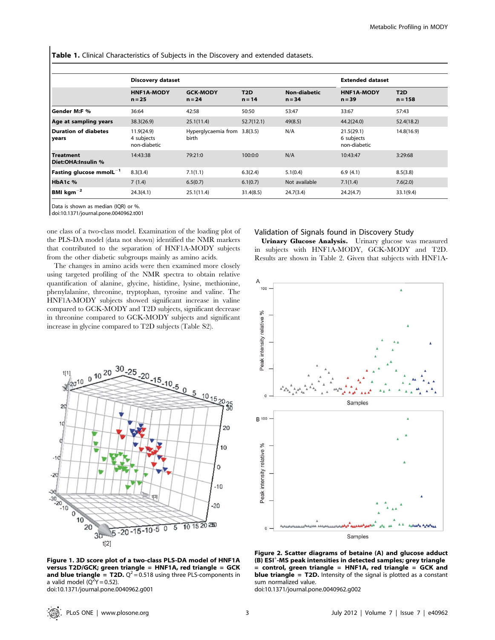Table 1. Clinical Characteristics of Subjects in the Discovery and extended datasets.

|                                           | <b>Discovery dataset</b>                 |                                       |                              |                                 | <b>Extended dataset</b>                  |                               |  |
|-------------------------------------------|------------------------------------------|---------------------------------------|------------------------------|---------------------------------|------------------------------------------|-------------------------------|--|
|                                           | <b>HNF1A-MODY</b><br>$n = 25$            | <b>GCK-MODY</b><br>$n = 24$           | T <sub>2</sub> D<br>$n = 14$ | <b>Non-diabetic</b><br>$n = 34$ | <b>HNF1A-MODY</b><br>$n = 39$            | T <sub>2</sub> D<br>$n = 158$ |  |
| <b>Gender M:F %</b>                       | 36:64                                    | 42:58                                 | 50:50                        | 53:47                           | 33:67                                    | 57:43                         |  |
| Age at sampling years                     | 38.3(26.9)                               | 25.1(11.4)                            | 52.7(12.1)                   | 49(8.5)                         | 44.2(24.0)                               | 52.4(18.2)                    |  |
| Duration of diabetes<br>years             | 11.9(24.9)<br>4 subjects<br>non-diabetic | Hyperglycaemia from 3.8(3.5)<br>birth |                              | N/A                             | 21.5(29.1)<br>6 subjects<br>non-diabetic | 14.8(16.9)                    |  |
| <b>Treatment</b><br>Diet:OHA:Insulin %    | 14:43:38                                 | 79:21:0                               | 100:0:0                      | N/A                             | 10:43:47                                 | 3:29:68                       |  |
| $\sf{Fasting}$ qlucose mmol $\sf{L}^{-1}$ | 8.3(3.4)                                 | 7.1(1.1)                              | 6.3(2.4)                     | 5.1(0.4)                        | 6.9(4.1)                                 | 8.5(3.8)                      |  |
| HbA1c %                                   | 7(1.4)                                   | 6.5(0.7)                              | 6.1(0.7)                     | Not available                   | 7.1(1.4)                                 | 7.6(2.0)                      |  |
| $~$ BMI kgm $^{-2}$                       | 24.3(4.1)                                | 25.1(11.4)                            | 31.4(8.5)                    | 24.7(3.4)                       | 24.2(4.7)                                | 33.1(9.4)                     |  |

Data is shown as median (IQR) or %.

doi:10.1371/journal.pone.0040962.t001

 $0^{10}$ <sup>20</sup>

 $420^{10}$ 

one class of a two-class model. Examination of the loading plot of the PLS-DA model (data not shown) identified the NMR markers that contributed to the separation of HNF1A-MODY subjects from the other diabetic subgroups mainly as amino acids.

The changes in amino acids were then examined more closely using targeted profiling of the NMR spectra to obtain relative quantification of alanine, glycine, histidine, lysine, methionine, phenylalanine, threonine, tryptophan, tyrosine and valine. The HNF1A-MODY subjects showed significant increase in valine compared to GCK-MODY and T2D subjects, significant decrease in threonine compared to GCK-MODY subjects and significant increase in glycine compared to T2D subjects (Table S2).

5

### Validation of Signals found in Discovery Study

Urinary Glucose Analysis. Urinary glucose was measured in subjects with HNF1A-MODY, GCK-MODY and T2D. Results are shown in Table 2. Given that subjects with HNF1A-



 $-10.5$  0  $5$  10 15 20 38  $20$  $10$ 20 10  $-10$ 0  $-20$  $-10$  $-30$  $-30$ <br> $-20$ <br> $-10$  $-20$  $\begin{array}{c}\n 0 \\
0 \\
10 \\
20\n \end{array}$ 10 15 20 250  $\overline{5}$ ō  $5 - 20 - 15 - 10$  $-5$  $3<sub>0</sub>$  $t[2]$ 

Figure 1. 3D score plot of a two-class PLS-DA model of HNF1A versus T2D/GCK; green triangle = HNF1A, red triangle = GCK and blue triangle = T2D.  $Q^2$  = 0.518 using three PLS-components in a valid model  $(Q^2Y = 0.52)$ . doi:10.1371/journal.pone.0040962.g001

Figure 2. Scatter diagrams of betaine (A) and glucose adduct (B) ESI<sup>+</sup>-MS peak intensities in detected samples; grey triangle  $=$  control, green triangle  $=$  HNF1A, red triangle  $=$  GCK and **blue triangle = T2D.** Intensity of the signal is plotted as a constant sum normalized value.

doi:10.1371/journal.pone.0040962.g002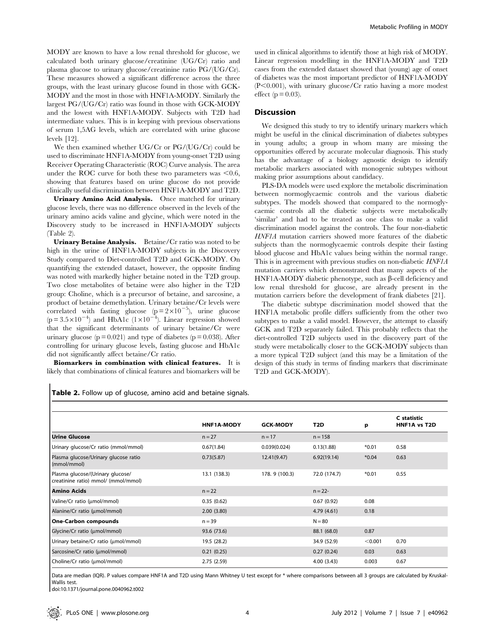MODY are known to have a low renal threshold for glucose, we calculated both urinary glucose/creatinine (UG/Cr) ratio and plasma glucose to urinary glucose/creatinine ratio PG/(UG/Cr). These measures showed a significant difference across the three groups, with the least urinary glucose found in those with GCK-MODY and the most in those with HNF1A-MODY. Similarly the largest PG/(UG/Cr) ratio was found in those with GCK-MODY and the lowest with HNF1A-MODY. Subjects with T2D had intermediate values. This is in keeping with previous observations of serum 1,5AG levels, which are correlated with urine glucose levels [12].

We then examined whether UG/Cr or PG/(UG/Cr) could be used to discriminate HNF1A-MODY from young-onset T2D using Receiver Operating Characteristic (ROC) Curve analysis. The area under the ROC curve for both these two parameters was  $\leq 0.6$ , showing that features based on urine glucose do not provide clinically useful discrimination between HNF1A-MODY and T2D.

Urinary Amino Acid Analysis. Once matched for urinary glucose levels, there was no difference observed in the levels of the urinary amino acids valine and glycine, which were noted in the Discovery study to be increased in HNF1A-MODY subjects (Table 2).

Urinary Betaine Analysis. Betaine/Cr ratio was noted to be high in the urine of HNF1A-MODY subjects in the Discovery Study compared to Diet-controlled T2D and GCK-MODY. On quantifying the extended dataset, however, the opposite finding was noted with markedly higher betaine noted in the T2D group. Two close metabolites of betaine were also higher in the T2D group: Choline, which is a precursor of betaine, and sarcosine, a product of betaine demethylation. Urinary betaine/Cr levels were correlated with fasting glucose  $(p=2\times10^{-5})$ , urine glucose  $(p=3.5\times10^{-4})$  and HbA1c  $(1\times10^{-4})$ . Linear regression showed that the significant determinants of urinary betaine/Cr were urinary glucose ( $p = 0.021$ ) and type of diabetes ( $p = 0.038$ ). After controlling for urinary glucose levels, fasting glucose and HbA1c did not significantly affect betaine/Cr ratio.

Biomarkers in combination with clinical features. It is likely that combinations of clinical features and biomarkers will be

used in clinical algorithms to identify those at high risk of MODY. Linear regression modelling in the HNF1A-MODY and T2D cases from the extended dataset showed that (young) age of onset of diabetes was the most important predictor of HNF1A-MODY  $(P<0.001)$ , with urinary glucose/Cr ratio having a more modest effect ( $p = 0.03$ ).

### **Discussion**

We designed this study to try to identify urinary markers which might be useful in the clinical discrimination of diabetes subtypes in young adults; a group in whom many are missing the opportunities offered by accurate molecular diagnosis. This study has the advantage of a biology agnostic design to identify metabolic markers associated with monogenic subtypes without making prior assumptions about candidacy.

PLS-DA models were used explore the metabolic discrimination between normoglycaemic controls and the various diabetic subtypes. The models showed that compared to the normoglycaemic controls all the diabetic subjects were metabolically 'similar' and had to be treated as one class to make a valid discrimination model against the controls. The four non-diabetic HNF1A mutation carriers showed more features of the diabetic subjects than the normoglycaemic controls despite their fasting blood glucose and HbA1c values being within the normal range. This is in agreement with previous studies on non-diabetic HNF1A mutation carriers which demonstrated that many aspects of the HNF1A-MODY diabetic phenotype, such as  $\beta$ -cell deficiency and low renal threshold for glucose, are already present in the mutation carriers before the development of frank diabetes [21].

The diabetic subtype discrimination model showed that the HNF1A metabolic profile differs sufficiently from the other two subtypes to make a valid model. However, the attempt to classify GCK and T2D separately failed. This probably reflects that the diet-controlled T2D subjects used in the discovery part of the study were metabolically closer to the GCK-MODY subjects than a more typical T2D subject (and this may be a limitation of the design of this study in terms of finding markers that discriminate T2D and GCK-MODY).

Table 2. Follow up of glucose, amino acid and betaine signals.

|                                                                         | HNF1A-MODY   | <b>GCK-MODY</b> | T2D          | p       | C statistic<br>HNF1A vs T2D |
|-------------------------------------------------------------------------|--------------|-----------------|--------------|---------|-----------------------------|
| <b>Urine Glucose</b>                                                    | $n = 27$     | $n = 17$        | $n = 158$    |         |                             |
| Urinary glucose/Cr ratio (mmol/mmol)                                    | 0.67(1.84)   | 0.039(0.024)    | 0.13(1.88)   | $*0.01$ | 0.58                        |
| Plasma glucose/Urinary glucose ratio<br>(mmol/mmol)                     | 0.73(5.87)   | 12.41(9.47)     | 6.92(19.14)  | $*0.04$ | 0.63                        |
| Plasma glucose/(Urinary glucose/<br>creatinine ratio) mmol/ (mmol/mmol) | 13.1 (138.3) | 178.9 (100.3)   | 72.0 (174.7) | $*0.01$ | 0.55                        |
| Amino Acids                                                             | $n = 22$     |                 | $n = 22 -$   |         |                             |
| Valine/Cr ratio (umol/mmol)                                             | 0.35(0.62)   |                 | 0.67(0.92)   | 0.08    |                             |
| Alanine/Cr ratio (umol/mmol)                                            | 2.00(3.80)   |                 | 4.79 (4.61)  | 0.18    |                             |
| One-Carbon compounds                                                    | $n = 39$     |                 | $N = 80$     |         |                             |
| Glycine/Cr ratio (umol/mmol)                                            | 93.6 (73.6)  |                 | 88.1 (68.0)  | 0.87    |                             |
| Urinary betaine/Cr ratio (µmol/mmol)                                    | 19.5 (28.2)  |                 | 34.9 (52.9)  | < 0.001 | 0.70                        |
| Sarcosine/Cr ratio (µmol/mmol)                                          | 0.21(0.25)   |                 | 0.27(0.24)   | 0.03    | 0.63                        |
| Choline/Cr ratio (umol/mmol)                                            | 2.75(2.59)   |                 | 4.00(3.43)   | 0.003   | 0.67                        |

Data are median (IQR). P values compare HNF1A and T2D using Mann Whitney U test except for \* where comparisons between all 3 groups are calculated by Kruskal-Wallis test.

doi:10.1371/journal.pone.0040962.t002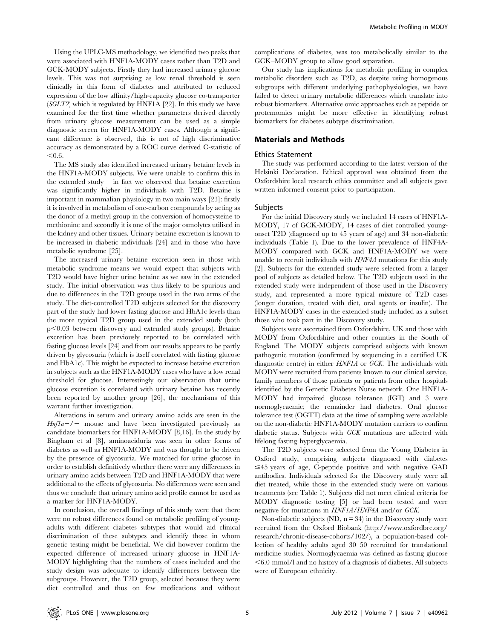Using the UPLC-MS methodology, we identified two peaks that were associated with HNF1A-MODY cases rather than T2D and GCK-MODY subjects. Firstly they had increased urinary glucose levels. This was not surprising as low renal threshold is seen clinically in this form of diabetes and attributed to reduced expression of the low affinity/high-capacity glucose co-transporter (SGLT2) which is regulated by HNF1A [22]. In this study we have examined for the first time whether parameters derived directly from urinary glucose measurement can be used as a simple diagnostic screen for HNF1A-MODY cases. Although a significant difference is observed, this is not of high discriminative accuracy as demonstrated by a ROC curve derived C-statistic of  $< 0.6.$ 

The MS study also identified increased urinary betaine levels in the HNF1A-MODY subjects. We were unable to confirm this in the extended study – in fact we observed that betaine excretion was significantly higher in individuals with T2D. Betaine is important in mammalian physiology in two main ways [23]: firstly it is involved in metabolism of one-carbon compounds by acting as the donor of a methyl group in the conversion of homocysteine to methionine and secondly it is one of the major osmolytes utilised in the kidney and other tissues. Urinary betaine excretion is known to be increased in diabetic individuals [24] and in those who have metabolic syndrome [25].

The increased urinary betaine excretion seen in those with metabolic syndrome means we would expect that subjects with T2D would have higher urine betaine as we saw in the extended study. The initial observation was thus likely to be spurious and due to differences in the T2D groups used in the two arms of the study. The diet-controlled T2D subjects selected for the discovery part of the study had lower fasting glucose and HbA1c levels than the more typical T2D group used in the extended study (both  $p<0.03$  between discovery and extended study groups). Betaine excretion has been previously reported to be correlated with fasting glucose levels [24] and from our results appears to be partly driven by glycosuria (which is itself correlated with fasting glucose and HbA1c). This might be expected to increase betaine excretion in subjects such as the HNF1A-MODY cases who have a low renal threshold for glucose. Interestingly our observation that urine glucose excretion is correlated with urinary betaine has recently been reported by another group [26], the mechanisms of this warrant further investigation.

Alterations in serum and urinary amino acids are seen in the  $Hnfla-/-$  mouse and have been investigated previously as candidate biomarkers for HNF1A-MODY [8,16]. In the study by Bingham et al [8], aminoaciduria was seen in other forms of diabetes as well as HNF1A-MODY and was thought to be driven by the presence of glycosuria. We matched for urine glucose in order to establish definitively whether there were any differences in urinary amino acids between T2D and HNF1A-MODY that were additional to the effects of glycosuria. No differences were seen and thus we conclude that urinary amino acid profile cannot be used as a marker for HNF1A-MODY.

In conclusion, the overall findings of this study were that there were no robust differences found on metabolic profiling of youngadults with different diabetes subtypes that would aid clinical discrimination of these subtypes and identify those in whom genetic testing might be beneficial. We did however confirm the expected difference of increased urinary glucose in HNF1A-MODY highlighting that the numbers of cases included and the study design was adequate to identify differences between the subgroups. However, the T2D group, selected because they were diet controlled and thus on few medications and without complications of diabetes, was too metabolically similar to the GCK–MODY group to allow good separation.

Our study has implications for metabolic profiling in complex metabolic disorders such as T2D, as despite using homogenous subgroups with different underlying pathophysiologies, we have failed to detect urinary metabolic differences which translate into robust biomarkers. Alternative omic approaches such as peptide or protemomics might be more effective in identifying robust biomarkers for diabetes subtype discrimination.

# Materials and Methods

# Ethics Statement

The study was performed according to the latest version of the Helsinki Declaration. Ethical approval was obtained from the Oxfordshire local research ethics committee and all subjects gave written informed consent prior to participation.

### Subjects

For the initial Discovery study we included 14 cases of HNF1A-MODY, 17 of GCK-MODY, 14 cases of diet controlled youngonset T2D (diagnosed up to 45 years of age) and 34 non-diabetic individuals (Table 1). Due to the lower prevalence of HNF4A-MODY compared with GCK and HNF1A-MODY we were unable to recruit individuals with HNF4A mutations for this study [2]. Subjects for the extended study were selected from a larger pool of subjects as detailed below. The T2D subjects used in the extended study were independent of those used in the Discovery study, and represented a more typical mixture of T2D cases (longer duration, treated with diet, oral agents or insulin). The HNF1A-MODY cases in the extended study included as a subset those who took part in the Discovery study.

Subjects were ascertained from Oxfordshire, UK and those with MODY from Oxfordshire and other counties in the South of England. The MODY subjects comprised subjects with known pathogenic mutation (confirmed by sequencing in a certified UK diagnostic centre) in either HNF1A or GCK. The individuals with MODY were recruited from patients known to our clinical service, family members of those patients or patients from other hospitals identified by the Genetic Diabetes Nurse network. One HNF1A-MODY had impaired glucose tolerance (IGT) and 3 were normoglycaemic; the remainder had diabetes. Oral glucose tolerance test (OGTT) data at the time of sampling were available on the non-diabetic HNF1A-MODY mutation carriers to confirm diabetic status. Subjects with GCK mutations are affected with lifelong fasting hyperglycaemia.

The T2D subjects were selected from the Young Diabetes in Oxford study, comprising subjects diagnosed with diabetes  $\leq$ 45 years of age, C-peptide positive and with negative GAD antibodies. Individuals selected for the Discovery study were all diet treated, while those in the extended study were on various treatments (see Table 1). Subjects did not meet clinical criteria for MODY diagnostic testing [5] or had been tested and were negative for mutations in HNF1A/HNF4A and/or GCK.

Non-diabetic subjects  $(ND, n = 34)$  in the Discovery study were recruited from the Oxford Biobank (http://www.oxfordbrc.org/ research/chronic-disease-cohorts/102/), a population-based collection of healthy adults aged 30–50 recruited for translational medicine studies. Normoglycaemia was defined as fasting glucose  $<$  6.0 mmol/l and no history of a diagnosis of diabetes. All subjects were of European ethnicity.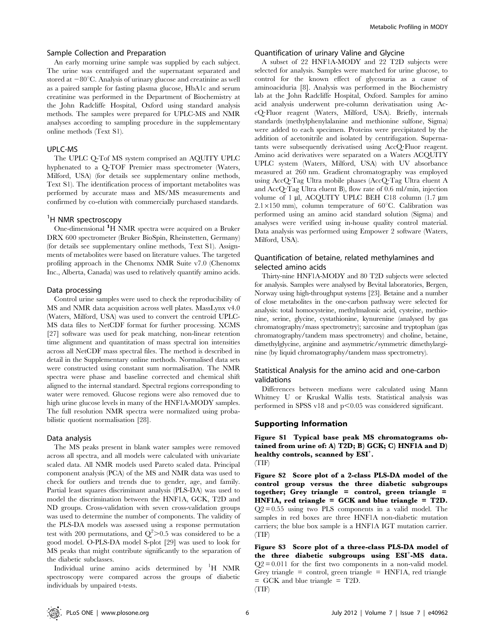#### Sample Collection and Preparation

An early morning urine sample was supplied by each subject. The urine was centrifuged and the supernatant separated and stored at  $-80^{\circ}$ C. Analysis of urinary glucose and creatinine as well as a paired sample for fasting plasma glucose, HbA1c and serum creatinine was performed in the Department of Biochemistry at the John Radcliffe Hospital, Oxford using standard analysis methods. The samples were prepared for UPLC-MS and NMR analyses according to sampling procedure in the supplementary online methods (Text S1).

# UPLC-MS

The UPLC Q-Tof MS system comprised an AQUITY UPLC hyphenated to a Q-TOF Premier mass spectrometer (Waters, Milford, USA) (for details see supplementary online methods, Text S1). The identification process of important metabolites was performed by accurate mass and MS/MS measurements and confirmed by co-elution with commercially purchased standards.

# <sup>1</sup>H NMR spectroscopy

One-dimensional <sup>1</sup>H NMR spectra were acquired on a Bruker DRX 600 spectrometer (Bruker BioSpin, Rheinstetten, Germany) (for details see supplementary online methods, Text S1). Assignments of metabolites were based on literature values. The targeted profiling approach in the Chenomx NMR Suite v7.0 (Chenomx Inc., Alberta, Canada) was used to relatively quantify amino acids.

## Data processing

Control urine samples were used to check the reproducibility of MS and NMR data acquisition across well plates. MassLynx v4.0 (Waters, Milford, USA) was used to convert the centroid UPLC-MS data files to NetCDF format for further processing. XCMS [27] software was used for peak matching, non-linear retention time alignment and quantitation of mass spectral ion intensities across all NetCDF mass spectral files. The method is described in detail in the Supplementary online methods. Normalised data sets were constructed using constant sum normalisation. The NMR spectra were phase and baseline corrected and chemical shift aligned to the internal standard. Spectral regions corresponding to water were removed. Glucose regions were also removed due to high urine glucose levels in many of the HNF1A-MODY samples. The full resolution NMR spectra were normalized using probabilistic quotient normalisation [28].

#### Data analysis

The MS peaks present in blank water samples were removed across all spectra, and all models were calculated with univariate scaled data. All NMR models used Pareto scaled data. Principal component analysis (PCA) of the MS and NMR data was used to check for outliers and trends due to gender, age, and family. Partial least squares discriminant analysis (PLS-DA) was used to model the discrimination between the HNF1A, GCK, T2D and ND groups. Cross-validation with seven cross-validation groups was used to determine the number of components. The validity of the PLS-DA models was assessed using a response permutation test with 200 permutations, and  $Q^2 > 0.5$  was considered to be a good model. O-PLS-DA model S-plot [29] was used to look for MS peaks that might contribute significantly to the separation of the diabetic subclasses.

Individual urine amino acids determined by <sup>1</sup> H NMR spectroscopy were compared across the groups of diabetic individuals by unpaired t-tests.

# Quantification of urinary Valine and Glycine

A subset of 22 HNF1A-MODY and 22 T2D subjects were selected for analysis. Samples were matched for urine glucose, to control for the known effect of glycosuria as a cause of aminoaciduria [8]. Analysis was performed in the Biochemistry lab at the John Radcliffe Hospital, Oxford. Samples for amino acid analysis underwent pre-column derivatisation using AccQ?Fluor reagent (Waters, Milford, USA). Briefly, internals standards (methylphenylalanine and methionine sulfone, Sigma) were added to each specimen. Proteins were precipitated by the addition of acetonitrile and isolated by centrifugation. Supernatants were subsequently derivatised using AccQ?Fluor reagent. Amino acid derivatives were separated on a Waters ACQUITY UPLC system (Waters, Milford, USA) with UV absorbance measured at 260 nm. Gradient chromatography was employed using AccQ?Tag Ultra mobile phases (AccQ?Tag Ultra eluent A and AccQ?Tag Ultra eluent B), flow rate of 0.6 ml/min, injection volume of 1 µl, ACQUITY UPLC BEH C18 column (1.7 µm  $2.1\times150$  mm), column temperature of 60°C. Calibration was performed using an amino acid standard solution (Sigma) and analyses were verified using in-house quality control material. Data analysis was performed using Empower 2 software (Waters, Milford, USA).

# Quantification of betaine, related methylamines and selected amino acids

Thirty-nine HNF1A-MODY and 80 T2D subjects were selected for analysis. Samples were analysed by Bevital laboratories, Bergen, Norway using high-throughput systems [23]. Betaine and a number of close metabolites in the one-carbon pathway were selected for analysis: total homocysteine, methylmalonic acid, cysteine, methionine, serine, glycine, cystathionine, kynurenine (analysed by gas chromatography/mass spectrometry); sarcosine and tryptophan (gas chromatography/tandem mass spectrometry) and choline, betaine, dimethylglycine, arginine and asymmetric/symmetric dimethylarginine (by liquid chromatography/tandem mass spectrometry).

# Statistical Analysis for the amino acid and one-carbon validations

Differences between medians were calculated using Mann Whitney U or Kruskal Wallis tests. Statistical analysis was performed in SPSS v18 and  $p<0.05$  was considered significant.

# Supporting Information

Figure S1 Typical base peak MS chromatograms obtained from urine of: A) T2D; B) GCK; C) HNF1A and D) healthy controls, scanned by ESI<sup>+</sup>.

Figure S2 Score plot of a 2-class PLS-DA model of the control group versus the three diabetic subgroups together; Grey triangle = control, green triangle = HNF1A, red triangle = GCK and blue triangle = T2D.  $Q2 = 0.55$  using two PLS components in a valid model. The samples in red boxes are three HNF1A non-diabetic mutation carriers; the blue box sample is a HNF1A IGT mutation carrier. (TIF)

Figure S3 Score plot of a three-class PLS-DA model of the three diabetic subgroups using ESI+-MS data.  $Q2 = 0.011$  for the first two components in a non-valid model. Grey triangle  $=$  control, green triangle  $=$  HNF1A, red triangle = GCK and blue triangle = T2D. (TIF)

<sup>(</sup>TIF)